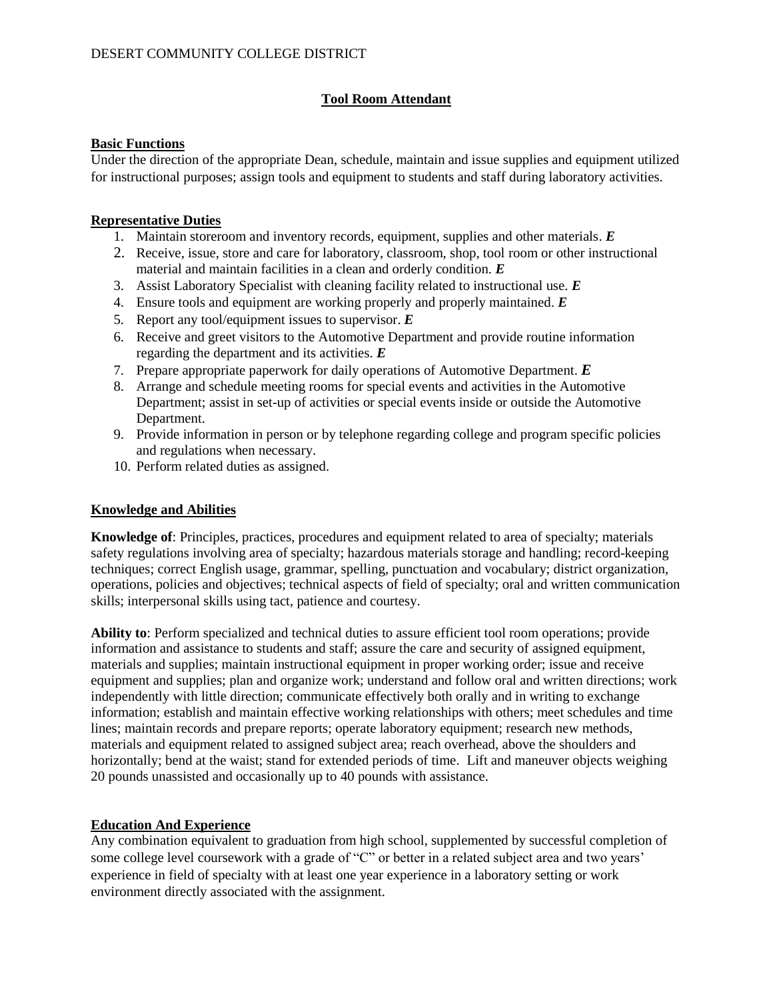# **Tool Room Attendant**

#### **Basic Functions**

Under the direction of the appropriate Dean, schedule, maintain and issue supplies and equipment utilized for instructional purposes; assign tools and equipment to students and staff during laboratory activities.

#### **Representative Duties**

- 1. Maintain storeroom and inventory records, equipment, supplies and other materials. *E*
- 2. Receive, issue, store and care for laboratory, classroom, shop, tool room or other instructional material and maintain facilities in a clean and orderly condition. *E*
- 3. Assist Laboratory Specialist with cleaning facility related to instructional use. *E*
- 4. Ensure tools and equipment are working properly and properly maintained. *E*
- 5. Report any tool/equipment issues to supervisor. *E*
- 6. Receive and greet visitors to the Automotive Department and provide routine information regarding the department and its activities. *E*
- 7. Prepare appropriate paperwork for daily operations of Automotive Department. *E*
- 8. Arrange and schedule meeting rooms for special events and activities in the Automotive Department; assist in set-up of activities or special events inside or outside the Automotive Department.
- 9. Provide information in person or by telephone regarding college and program specific policies and regulations when necessary.
- 10. Perform related duties as assigned.

# **Knowledge and Abilities**

**Knowledge of**: Principles, practices, procedures and equipment related to area of specialty; materials safety regulations involving area of specialty; hazardous materials storage and handling; record-keeping techniques; correct English usage, grammar, spelling, punctuation and vocabulary; district organization, operations, policies and objectives; technical aspects of field of specialty; oral and written communication skills; interpersonal skills using tact, patience and courtesy.

**Ability to**: Perform specialized and technical duties to assure efficient tool room operations; provide information and assistance to students and staff; assure the care and security of assigned equipment, materials and supplies; maintain instructional equipment in proper working order; issue and receive equipment and supplies; plan and organize work; understand and follow oral and written directions; work independently with little direction; communicate effectively both orally and in writing to exchange information; establish and maintain effective working relationships with others; meet schedules and time lines; maintain records and prepare reports; operate laboratory equipment; research new methods, materials and equipment related to assigned subject area; reach overhead, above the shoulders and horizontally; bend at the waist; stand for extended periods of time. Lift and maneuver objects weighing 20 pounds unassisted and occasionally up to 40 pounds with assistance.

# **Education And Experience**

Any combination equivalent to graduation from high school, supplemented by successful completion of some college level coursework with a grade of "C" or better in a related subject area and two years' experience in field of specialty with at least one year experience in a laboratory setting or work environment directly associated with the assignment.